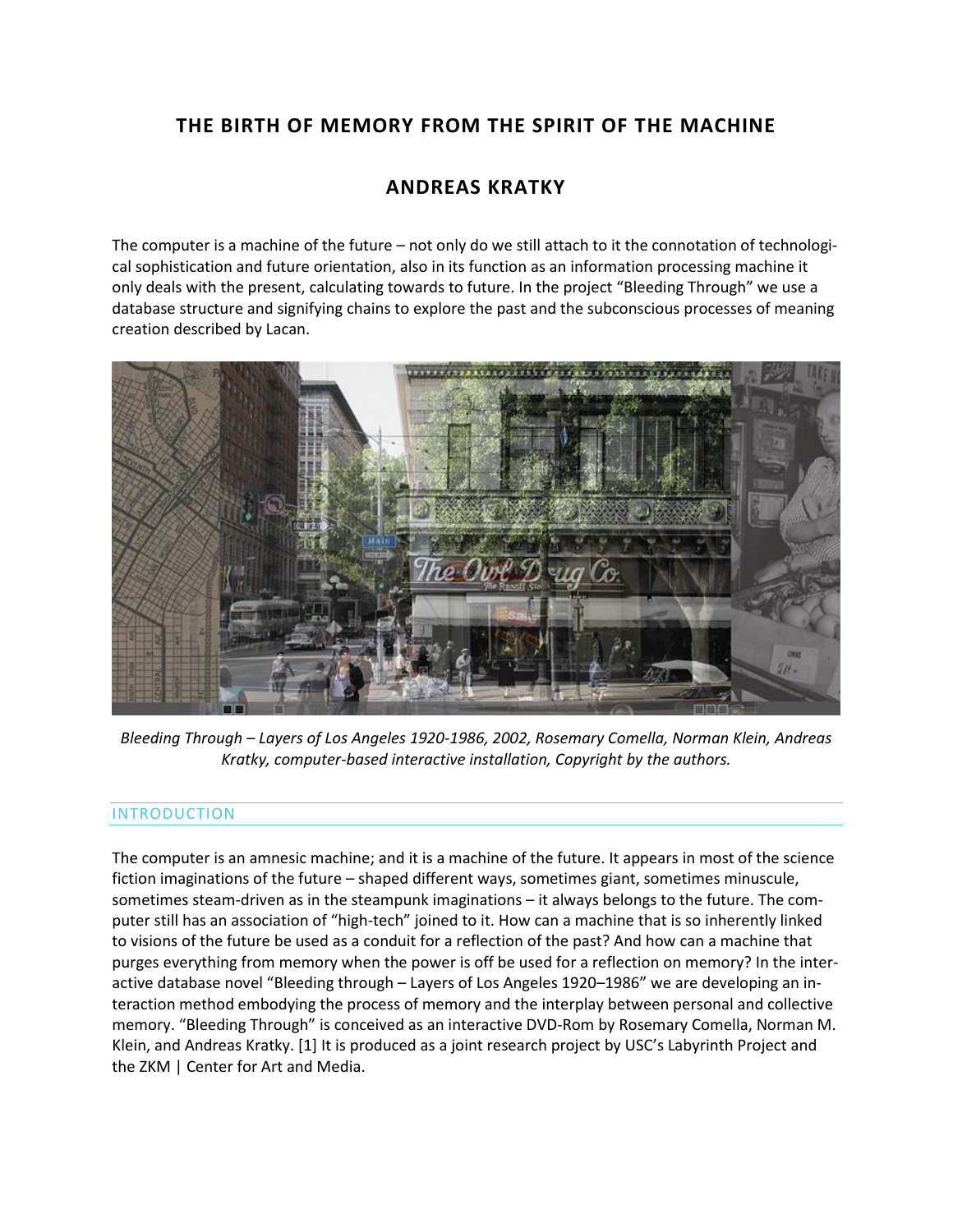# **THE BIRTH OF MEMORY FROM THE SPIRIT OF THE MACHINE**

# **ANDREAS KRATKY**

The computer is a machine of the future – not only do we still attach to it the connotation of technological sophistication and future orientation, also in its function as an information processing machine it only deals with the present, calculating towards to future. In the project "Bleeding Through" we use a database structure and signifying chains to explore the past and the subconscious processes of meaning creation described by Lacan.



*Bleeding Through – Layers of Los Angeles 1920-1986, 2002, Rosemary Comella, Norman Klein, Andreas Kratky, computer-based interactive installation, Copyright by the authors.*

## INTRODUCTION

The computer is an amnesic machine; and it is a machine of the future. It appears in most of the science fiction imaginations of the future – shaped different ways, sometimes giant, sometimes minuscule, sometimes steam-driven as in the steampunk imaginations – it always belongs to the future. The computer still has an association of "high-tech" joined to it. How can a machine that is so inherently linked to visions of the future be used as a conduit for a reflection of the past? And how can a machine that purges everything from memory when the power is off be used for a reflection on memory? In the interactive database novel "Bleeding through – Layers of Los Angeles 1920–1986" we are developing an interaction method embodying the process of memory and the interplay between personal and collective memory. "Bleeding Through" is conceived as an interactive DVD-Rom by Rosemary Comella, Norman M. Klein, and Andreas Kratky. [1] It is produced as a joint research project by USC's Labyrinth Project and the ZKM | Center for Art and Media.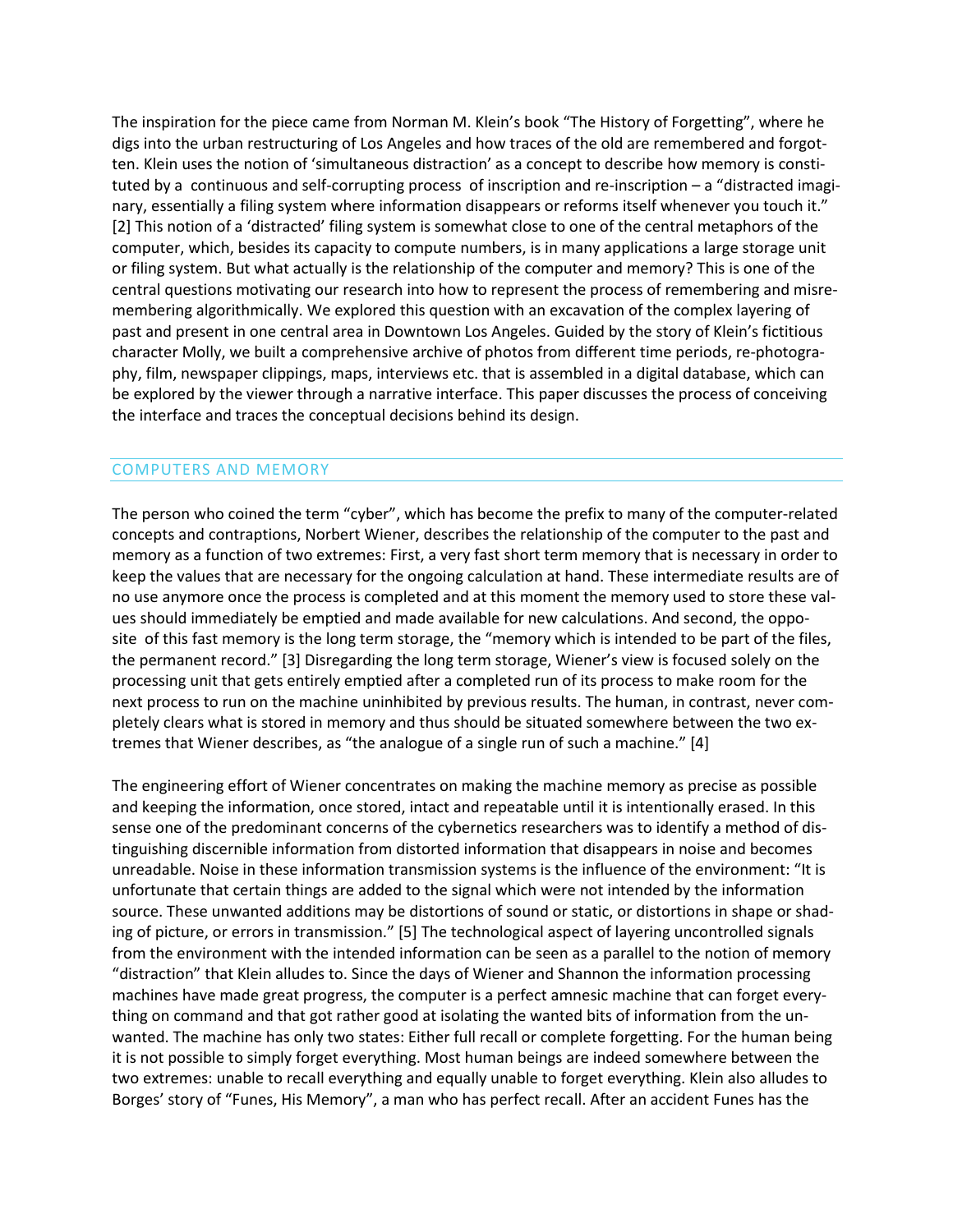The inspiration for the piece came from Norman M. Klein's book "The History of Forgetting", where he digs into the urban restructuring of Los Angeles and how traces of the old are remembered and forgotten. Klein uses the notion of 'simultaneous distraction' as a concept to describe how memory is constituted by a continuous and self-corrupting process of inscription and re-inscription – a "distracted imaginary, essentially a filing system where information disappears or reforms itself whenever you touch it." [2] This notion of a 'distracted' filing system is somewhat close to one of the central metaphors of the computer, which, besides its capacity to compute numbers, is in many applications a large storage unit or filing system. But what actually is the relationship of the computer and memory? This is one of the central questions motivating our research into how to represent the process of remembering and misremembering algorithmically. We explored this question with an excavation of the complex layering of past and present in one central area in Downtown Los Angeles. Guided by the story of Klein's fictitious character Molly, we built a comprehensive archive of photos from different time periods, re-photography, film, newspaper clippings, maps, interviews etc. that is assembled in a digital database, which can be explored by the viewer through a narrative interface. This paper discusses the process of conceiving the interface and traces the conceptual decisions behind its design.

## COMPUTERS AND MEMORY

The person who coined the term "cyber", which has become the prefix to many of the computer-related concepts and contraptions, Norbert Wiener, describes the relationship of the computer to the past and memory as a function of two extremes: First, a very fast short term memory that is necessary in order to keep the values that are necessary for the ongoing calculation at hand. These intermediate results are of no use anymore once the process is completed and at this moment the memory used to store these values should immediately be emptied and made available for new calculations. And second, the opposite of this fast memory is the long term storage, the "memory which is intended to be part of the files, the permanent record." [3] Disregarding the long term storage, Wiener's view is focused solely on the processing unit that gets entirely emptied after a completed run of its process to make room for the next process to run on the machine uninhibited by previous results. The human, in contrast, never completely clears what is stored in memory and thus should be situated somewhere between the two extremes that Wiener describes, as "the analogue of a single run of such a machine." [4]

The engineering effort of Wiener concentrates on making the machine memory as precise as possible and keeping the information, once stored, intact and repeatable until it is intentionally erased. In this sense one of the predominant concerns of the cybernetics researchers was to identify a method of distinguishing discernible information from distorted information that disappears in noise and becomes unreadable. Noise in these information transmission systems is the influence of the environment: "It is unfortunate that certain things are added to the signal which were not intended by the information source. These unwanted additions may be distortions of sound or static, or distortions in shape or shading of picture, or errors in transmission." [5] The technological aspect of layering uncontrolled signals from the environment with the intended information can be seen as a parallel to the notion of memory "distraction" that Klein alludes to. Since the days of Wiener and Shannon the information processing machines have made great progress, the computer is a perfect amnesic machine that can forget everything on command and that got rather good at isolating the wanted bits of information from the unwanted. The machine has only two states: Either full recall or complete forgetting. For the human being it is not possible to simply forget everything. Most human beings are indeed somewhere between the two extremes: unable to recall everything and equally unable to forget everything. Klein also alludes to Borges' story of "Funes, His Memory", a man who has perfect recall. After an accident Funes has the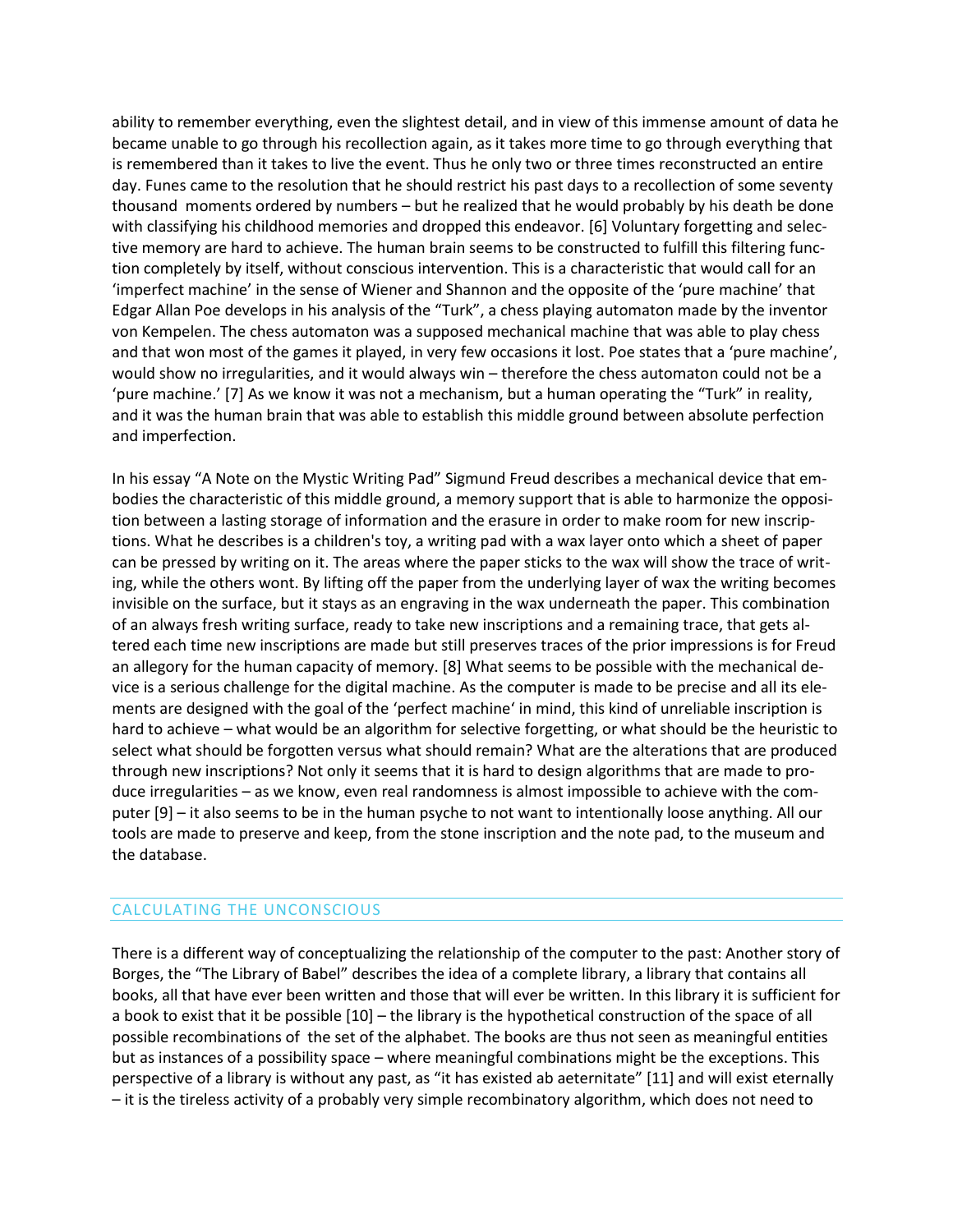ability to remember everything, even the slightest detail, and in view of this immense amount of data he became unable to go through his recollection again, as it takes more time to go through everything that is remembered than it takes to live the event. Thus he only two or three times reconstructed an entire day. Funes came to the resolution that he should restrict his past days to a recollection of some seventy thousand moments ordered by numbers – but he realized that he would probably by his death be done with classifying his childhood memories and dropped this endeavor. [6] Voluntary forgetting and selective memory are hard to achieve. The human brain seems to be constructed to fulfill this filtering function completely by itself, without conscious intervention. This is a characteristic that would call for an 'imperfect machine' in the sense of Wiener and Shannon and the opposite of the 'pure machine' that Edgar Allan Poe develops in his analysis of the "Turk", a chess playing automaton made by the inventor von Kempelen. The chess automaton was a supposed mechanical machine that was able to play chess and that won most of the games it played, in very few occasions it lost. Poe states that a 'pure machine', would show no irregularities, and it would always win – therefore the chess automaton could not be a 'pure machine.' [7] As we know it was not a mechanism, but a human operating the "Turk" in reality, and it was the human brain that was able to establish this middle ground between absolute perfection and imperfection.

In his essay "A Note on the Mystic Writing Pad" Sigmund Freud describes a mechanical device that embodies the characteristic of this middle ground, a memory support that is able to harmonize the opposition between a lasting storage of information and the erasure in order to make room for new inscriptions. What he describes is a children's toy, a writing pad with a wax layer onto which a sheet of paper can be pressed by writing on it. The areas where the paper sticks to the wax will show the trace of writing, while the others wont. By lifting off the paper from the underlying layer of wax the writing becomes invisible on the surface, but it stays as an engraving in the wax underneath the paper. This combination of an always fresh writing surface, ready to take new inscriptions and a remaining trace, that gets altered each time new inscriptions are made but still preserves traces of the prior impressions is for Freud an allegory for the human capacity of memory. [8] What seems to be possible with the mechanical device is a serious challenge for the digital machine. As the computer is made to be precise and all its elements are designed with the goal of the 'perfect machine' in mind, this kind of unreliable inscription is hard to achieve – what would be an algorithm for selective forgetting, or what should be the heuristic to select what should be forgotten versus what should remain? What are the alterations that are produced through new inscriptions? Not only it seems that it is hard to design algorithms that are made to produce irregularities – as we know, even real randomness is almost impossible to achieve with the computer [9] – it also seems to be in the human psyche to not want to intentionally loose anything. All our tools are made to preserve and keep, from the stone inscription and the note pad, to the museum and the database.

### CALCULATING THE UNCONSCIOUS

There is a different way of conceptualizing the relationship of the computer to the past: Another story of Borges, the "The Library of Babel" describes the idea of a complete library, a library that contains all books, all that have ever been written and those that will ever be written. In this library it is sufficient for a book to exist that it be possible [10] – the library is the hypothetical construction of the space of all possible recombinations of the set of the alphabet. The books are thus not seen as meaningful entities but as instances of a possibility space – where meaningful combinations might be the exceptions. This perspective of a library is without any past, as "it has existed ab aeternitate" [11] and will exist eternally – it is the tireless activity of a probably very simple recombinatory algorithm, which does not need to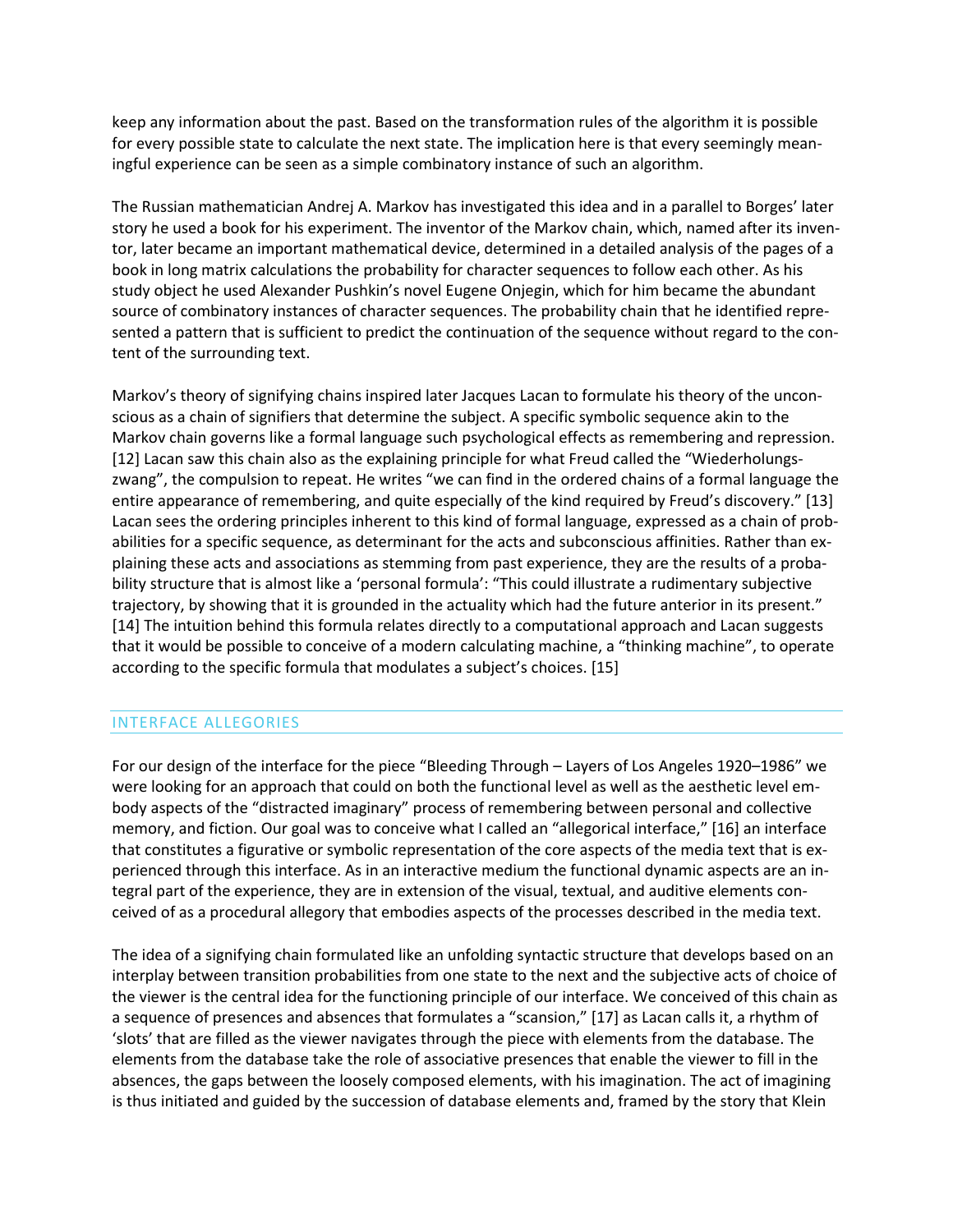keep any information about the past. Based on the transformation rules of the algorithm it is possible for every possible state to calculate the next state. The implication here is that every seemingly meaningful experience can be seen as a simple combinatory instance of such an algorithm.

The Russian mathematician Andrej A. Markov has investigated this idea and in a parallel to Borges' later story he used a book for his experiment. The inventor of the Markov chain, which, named after its inventor, later became an important mathematical device, determined in a detailed analysis of the pages of a book in long matrix calculations the probability for character sequences to follow each other. As his study object he used Alexander Pushkin's novel Eugene Onjegin, which for him became the abundant source of combinatory instances of character sequences. The probability chain that he identified represented a pattern that is sufficient to predict the continuation of the sequence without regard to the content of the surrounding text.

Markov's theory of signifying chains inspired later Jacques Lacan to formulate his theory of the unconscious as a chain of signifiers that determine the subject. A specific symbolic sequence akin to the Markov chain governs like a formal language such psychological effects as remembering and repression. [12] Lacan saw this chain also as the explaining principle for what Freud called the "Wiederholungszwang", the compulsion to repeat. He writes "we can find in the ordered chains of a formal language the entire appearance of remembering, and quite especially of the kind required by Freud's discovery." [13] Lacan sees the ordering principles inherent to this kind of formal language, expressed as a chain of probabilities for a specific sequence, as determinant for the acts and subconscious affinities. Rather than explaining these acts and associations as stemming from past experience, they are the results of a probability structure that is almost like a 'personal formula': "This could illustrate a rudimentary subjective trajectory, by showing that it is grounded in the actuality which had the future anterior in its present." [14] The intuition behind this formula relates directly to a computational approach and Lacan suggests that it would be possible to conceive of a modern calculating machine, a "thinking machine", to operate according to the specific formula that modulates a subject's choices. [15]

## INTERFACE ALLEGORIES

For our design of the interface for the piece "Bleeding Through – Layers of Los Angeles 1920–1986" we were looking for an approach that could on both the functional level as well as the aesthetic level embody aspects of the "distracted imaginary" process of remembering between personal and collective memory, and fiction. Our goal was to conceive what I called an "allegorical interface," [16] an interface that constitutes a figurative or symbolic representation of the core aspects of the media text that is experienced through this interface. As in an interactive medium the functional dynamic aspects are an integral part of the experience, they are in extension of the visual, textual, and auditive elements conceived of as a procedural allegory that embodies aspects of the processes described in the media text.

The idea of a signifying chain formulated like an unfolding syntactic structure that develops based on an interplay between transition probabilities from one state to the next and the subjective acts of choice of the viewer is the central idea for the functioning principle of our interface. We conceived of this chain as a sequence of presences and absences that formulates a "scansion," [17] as Lacan calls it, a rhythm of 'slots' that are filled as the viewer navigates through the piece with elements from the database. The elements from the database take the role of associative presences that enable the viewer to fill in the absences, the gaps between the loosely composed elements, with his imagination. The act of imagining is thus initiated and guided by the succession of database elements and, framed by the story that Klein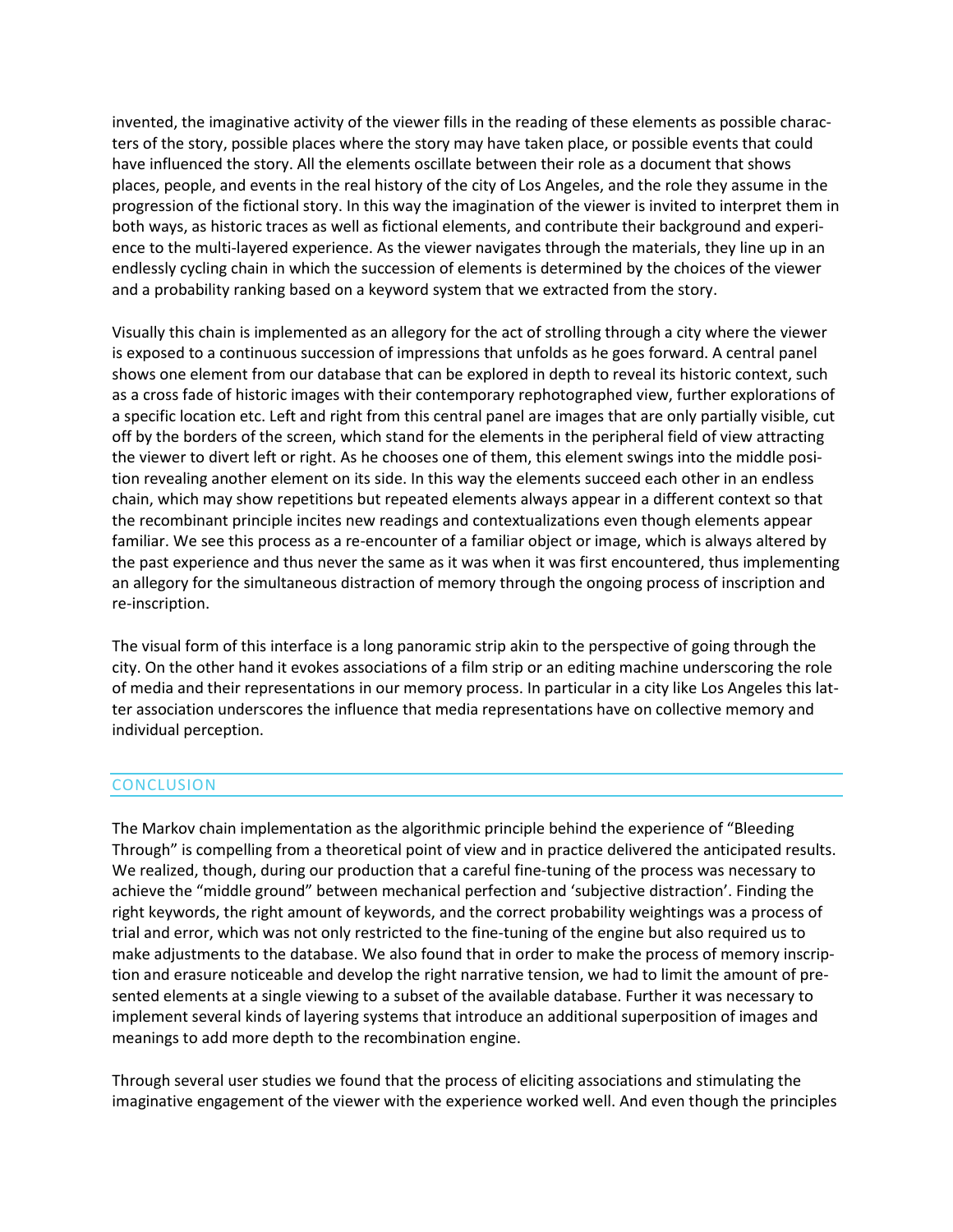invented, the imaginative activity of the viewer fills in the reading of these elements as possible characters of the story, possible places where the story may have taken place, or possible events that could have influenced the story. All the elements oscillate between their role as a document that shows places, people, and events in the real history of the city of Los Angeles, and the role they assume in the progression of the fictional story. In this way the imagination of the viewer is invited to interpret them in both ways, as historic traces as well as fictional elements, and contribute their background and experience to the multi-layered experience. As the viewer navigates through the materials, they line up in an endlessly cycling chain in which the succession of elements is determined by the choices of the viewer and a probability ranking based on a keyword system that we extracted from the story.

Visually this chain is implemented as an allegory for the act of strolling through a city where the viewer is exposed to a continuous succession of impressions that unfolds as he goes forward. A central panel shows one element from our database that can be explored in depth to reveal its historic context, such as a cross fade of historic images with their contemporary rephotographed view, further explorations of a specific location etc. Left and right from this central panel are images that are only partially visible, cut off by the borders of the screen, which stand for the elements in the peripheral field of view attracting the viewer to divert left or right. As he chooses one of them, this element swings into the middle position revealing another element on its side. In this way the elements succeed each other in an endless chain, which may show repetitions but repeated elements always appear in a different context so that the recombinant principle incites new readings and contextualizations even though elements appear familiar. We see this process as a re-encounter of a familiar object or image, which is always altered by the past experience and thus never the same as it was when it was first encountered, thus implementing an allegory for the simultaneous distraction of memory through the ongoing process of inscription and re-inscription.

The visual form of this interface is a long panoramic strip akin to the perspective of going through the city. On the other hand it evokes associations of a film strip or an editing machine underscoring the role of media and their representations in our memory process. In particular in a city like Los Angeles this latter association underscores the influence that media representations have on collective memory and individual perception.

## **CONCLUSION**

The Markov chain implementation as the algorithmic principle behind the experience of "Bleeding Through" is compelling from a theoretical point of view and in practice delivered the anticipated results. We realized, though, during our production that a careful fine-tuning of the process was necessary to achieve the "middle ground" between mechanical perfection and 'subjective distraction'. Finding the right keywords, the right amount of keywords, and the correct probability weightings was a process of trial and error, which was not only restricted to the fine-tuning of the engine but also required us to make adjustments to the database. We also found that in order to make the process of memory inscription and erasure noticeable and develop the right narrative tension, we had to limit the amount of presented elements at a single viewing to a subset of the available database. Further it was necessary to implement several kinds of layering systems that introduce an additional superposition of images and meanings to add more depth to the recombination engine.

Through several user studies we found that the process of eliciting associations and stimulating the imaginative engagement of the viewer with the experience worked well. And even though the principles